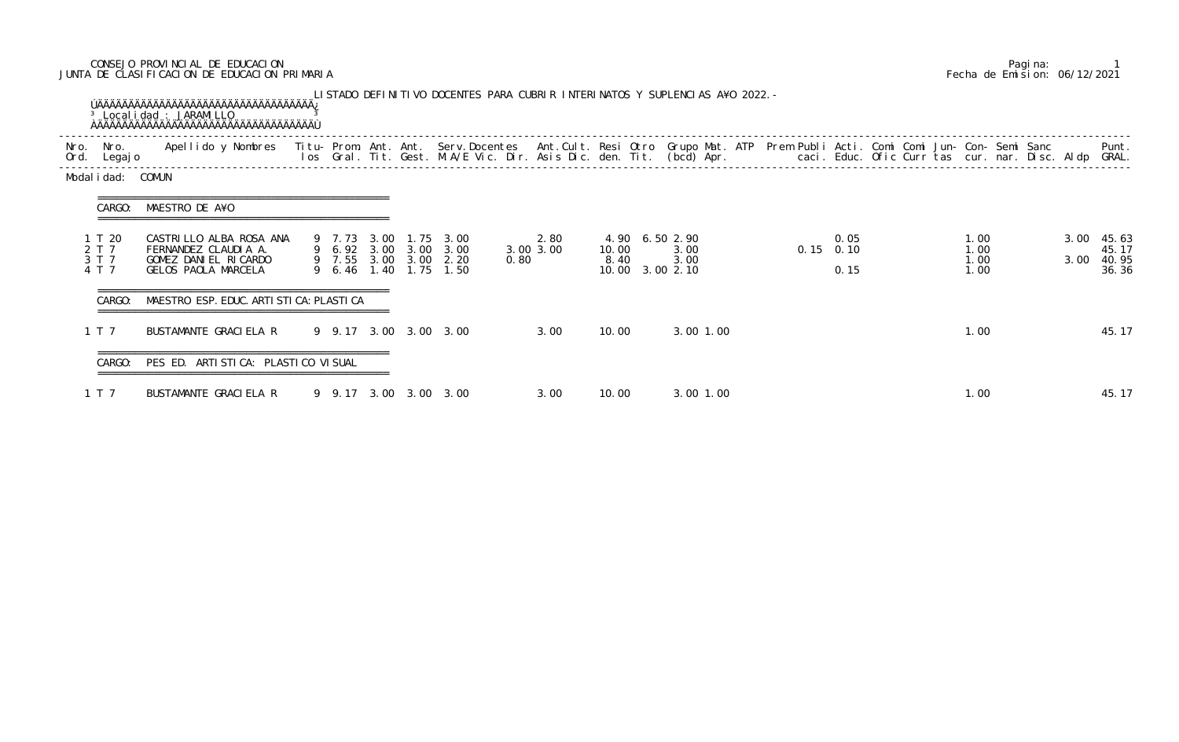## CONSEJO PROVINCIAL DE EDUCACION Pagina: 1 JUNTA DE CLASIFICACION DE EDUCACION PRIMARIA Fecha de Emision: 06/12/2021

| Nro.<br>Ord. | Nro.<br>Legaj o                   | Apellido y Nombres - Titu- Prom. Ant. Ant. Serv.Docentes - Ant.Cult. Resi Otro Grupo Mat. ATP Prem Publi Acti. Comi Comi Jun- Con- Semi Sanc - - - - Punt.<br>Ios Gral. Tit. Gest. M.A/E Vic. Dir. Asis Dic. den. Tit. (bcd) Apr. |                       |  |                                                                                 |                           |               |                                                   |  |             |              |  |                              |              |                                  |
|--------------|-----------------------------------|-----------------------------------------------------------------------------------------------------------------------------------------------------------------------------------------------------------------------------------|-----------------------|--|---------------------------------------------------------------------------------|---------------------------|---------------|---------------------------------------------------|--|-------------|--------------|--|------------------------------|--------------|----------------------------------|
|              | Modal i dad: COMUN                |                                                                                                                                                                                                                                   |                       |  |                                                                                 |                           |               |                                                   |  |             |              |  |                              |              |                                  |
|              | CARGO:                            | MAESTRO DE A¥O                                                                                                                                                                                                                    |                       |  |                                                                                 |                           |               |                                                   |  |             |              |  |                              |              |                                  |
|              | 1 T 20<br>2 T 7<br>3 T 7<br>4 T 7 | CASTRILLO ALBA ROSA ANA<br>FERNANDEZ CLAUDIA A.<br>GOMEZ DANIEL RICARDO<br>GELOS PAOLA MARCELA                                                                                                                                    | 9 6.46 1.40 1.75      |  | 9 7.73 3.00 1.75 3.00<br>9 6.92 3.00 3.00 3.00<br>9 7.55 3.00 3.00 2.20<br>1.50 | 2.80<br>3.00 3.00<br>0.80 | 10.00<br>8.40 | 4.90 6.50 2.90<br>3.00<br>3.00<br>10.00 3.00 2.10 |  | $0.15$ 0.10 | 0.05<br>0.15 |  | 1.00<br>1.00<br>1.00<br>1.00 | 3.00<br>3.00 | 45.63<br>45.17<br>40.95<br>36.36 |
|              | CARGO:                            | MAESTRO ESP. EDUC. ARTI STI CA: PLASTI CA                                                                                                                                                                                         |                       |  |                                                                                 |                           |               |                                                   |  |             |              |  |                              |              |                                  |
|              | 1 T 7                             | BUSTAMANTE GRACIELA R                                                                                                                                                                                                             |                       |  | 9 9.17 3.00 3.00 3.00                                                           | 3.00                      | 10.00         | 3.00 1.00                                         |  |             |              |  | 1.00                         |              | 45.17                            |
|              | CARGO:                            | PES ED. ARTI STI CA: PLASTI CO VI SUAL                                                                                                                                                                                            |                       |  |                                                                                 |                           |               |                                                   |  |             |              |  |                              |              |                                  |
|              | 1 T 7                             | BUSTAMANTE GRACIELA R                                                                                                                                                                                                             | 9 9.17 3.00 3.00 3.00 |  |                                                                                 | 3.00                      | 10.00         | 3.00 1.00                                         |  |             |              |  | 1.00                         |              | 45.17                            |